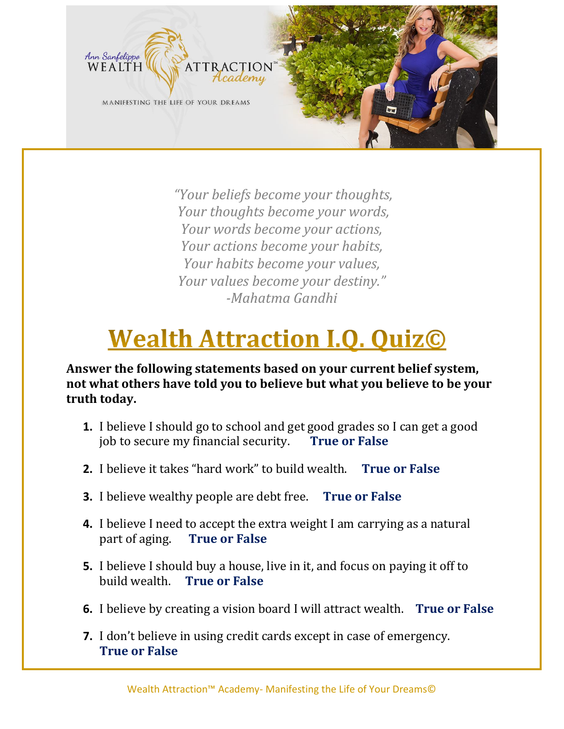

*"Your beliefs become your thoughts, Your thoughts become your words, Your words become your actions, Your actions become your habits, Your habits become your values, Your values become your destiny." -Mahatma Gandhi*

# **Wealth Attraction I.O. QuizC**

**Answer the following statements based on your current belief system, not what others have told you to believe but what you believe to be your truth today.** 

- **1.** I believe I should go to school and get good grades so I can get a good job to secure my financial security. **True or False**
- **2.** I believe it takes "hard work" to build wealth. **True or False**
- **3.** I believe wealthy people are debt free. **True or False**
- **4.** I believe I need to accept the extra weight I am carrying as a natural part of aging. **True or False**
- **5.** I believe I should buy a house, live in it, and focus on paying it off to build wealth. **True or False**
- **6.** I believe by creating a vision board I will attract wealth. **True or False**
- **7.** I don't believe in using credit cards except in case of emergency. **True or False**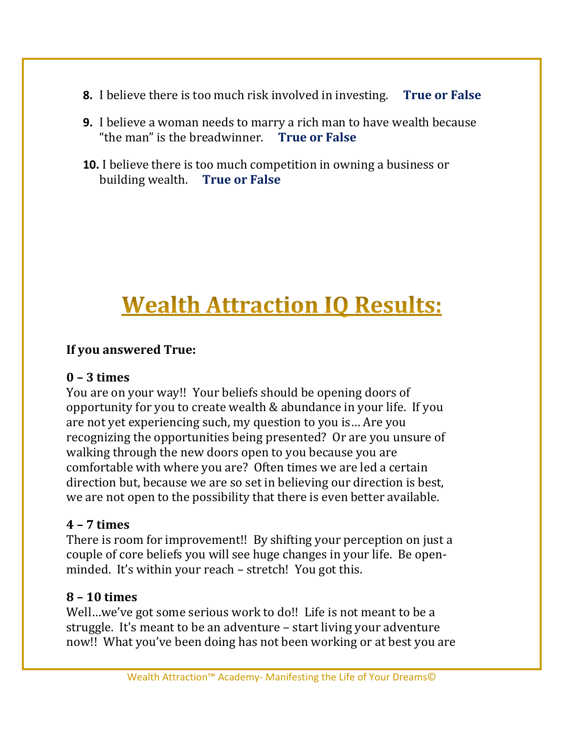- **8.** I believe there is too much risk involved in investing. **True or False**
- **9.** I believe a woman needs to marry a rich man to have wealth because "the man" is the breadwinner. **True or False**
- **10.** I believe there is too much competition in owning a business or building wealth. **True or False**

## **Wealth Attraction IQ Results:**

#### **If you answered True:**

#### **0 – 3 times**

You are on your way!! Your beliefs should be opening doors of opportunity for you to create wealth & abundance in your life. If you are not yet experiencing such, my question to you is… Are you recognizing the opportunities being presented? Or are you unsure of walking through the new doors open to you because you are comfortable with where you are? Often times we are led a certain direction but, because we are so set in believing our direction is best, we are not open to the possibility that there is even better available.

#### **4 – 7 times**

There is room for improvement!! By shifting your perception on just a couple of core beliefs you will see huge changes in your life. Be openminded. It's within your reach – stretch! You got this.

#### **8 – 10 times**

Well…we've got some serious work to do!! Life is not meant to be a struggle. It's meant to be an adventure – start living your adventure now!! What you've been doing has not been working or at best you are